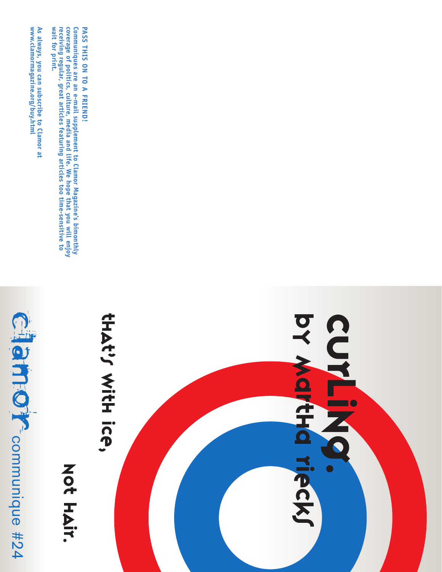

NOT HAIR.

that's With ice, THAT'S WITH ICE,

by Martha riecks

**by Martha riecks** 

CUTLING

www.clamormagazine.org/buy.html As always, you can subscribe to Clamor at **www.clamormagazine.org/buy.html always, you can subscribe to Clamor at**

coverage of politics, culture, media and life. We hope that you will enjoy<br>receiving regular, great articles featuring articles too time-sensitive to<br>wait for print. Communiques are an e-mail supplement to Clamor Magazine's bimonthly **wait for print. coverage of politics, culture, media and life. We hope that you will enjoy Communiques are an e-mail supplement to Clamor Magazine's bimonthly eceiving regular, great articles featuring articles too time-sensitive to**

PASS THIS ON TO A FRIEND! **PASS THIS ON TO A FRIEND!**